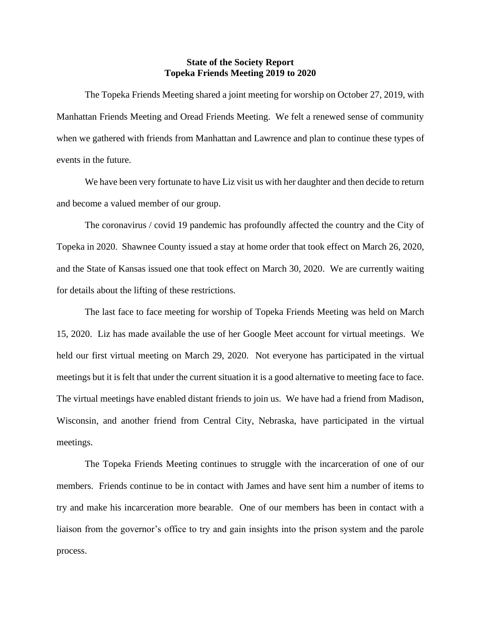## **State of the Society Report Topeka Friends Meeting 2019 to 2020**

The Topeka Friends Meeting shared a joint meeting for worship on October 27, 2019, with Manhattan Friends Meeting and Oread Friends Meeting. We felt a renewed sense of community when we gathered with friends from Manhattan and Lawrence and plan to continue these types of events in the future.

We have been very fortunate to have Liz visit us with her daughter and then decide to return and become a valued member of our group.

The coronavirus / covid 19 pandemic has profoundly affected the country and the City of Topeka in 2020. Shawnee County issued a stay at home order that took effect on March 26, 2020, and the State of Kansas issued one that took effect on March 30, 2020. We are currently waiting for details about the lifting of these restrictions.

The last face to face meeting for worship of Topeka Friends Meeting was held on March 15, 2020. Liz has made available the use of her Google Meet account for virtual meetings. We held our first virtual meeting on March 29, 2020. Not everyone has participated in the virtual meetings but it is felt that under the current situation it is a good alternative to meeting face to face. The virtual meetings have enabled distant friends to join us. We have had a friend from Madison, Wisconsin, and another friend from Central City, Nebraska, have participated in the virtual meetings.

The Topeka Friends Meeting continues to struggle with the incarceration of one of our members. Friends continue to be in contact with James and have sent him a number of items to try and make his incarceration more bearable. One of our members has been in contact with a liaison from the governor's office to try and gain insights into the prison system and the parole process.